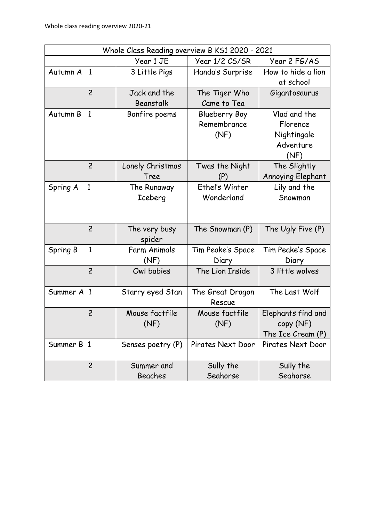| Whole Class Reading overview B KS1 2020 - 2021 |                |                         |                            |                          |  |  |  |  |
|------------------------------------------------|----------------|-------------------------|----------------------------|--------------------------|--|--|--|--|
|                                                |                | Year 1 JE               | Year 1/2 CS/SR             | Year 2 FG/AS             |  |  |  |  |
| Autumn A                                       | $\overline{1}$ | 3 Little Pigs           | Handa's Surprise           | How to hide a lion       |  |  |  |  |
|                                                |                |                         |                            | at school                |  |  |  |  |
|                                                | $\overline{c}$ | Jack and the            | The Tiger Who              | Gigantosaurus            |  |  |  |  |
|                                                |                | Beanstalk               | Came to Tea                |                          |  |  |  |  |
| Autumn B<br>$\mathbf{1}$                       |                | Bonfire poems           | <b>Blueberry Boy</b>       | Vlad and the             |  |  |  |  |
|                                                |                |                         | Remembrance                | Florence                 |  |  |  |  |
|                                                |                |                         | (NF)                       | Nightingale              |  |  |  |  |
|                                                |                |                         |                            | Adventure                |  |  |  |  |
|                                                |                |                         |                            | (NF)                     |  |  |  |  |
|                                                | $\overline{c}$ | Lonely Christmas        | Twas the Night             | The Slightly             |  |  |  |  |
|                                                |                | Tree                    | (P)                        | <b>Annoying Elephant</b> |  |  |  |  |
| Spring A                                       | $\mathbf{1}$   | The Runaway             | Ethel's Winter             | Lily and the             |  |  |  |  |
|                                                |                | <b>Iceberg</b>          | Wonderland                 | Snowman                  |  |  |  |  |
|                                                |                |                         |                            |                          |  |  |  |  |
|                                                |                |                         |                            |                          |  |  |  |  |
|                                                | $\overline{c}$ | The very busy<br>spider | The Snowman (P)            | The Ugly Five (P)        |  |  |  |  |
| Spring B                                       | 1              | <b>Farm Animals</b>     | Tim Peake's Space          | Tim Peake's Space        |  |  |  |  |
|                                                |                | (NF)                    | Diary                      | Diary                    |  |  |  |  |
|                                                | $\overline{c}$ | Owl babies              | The Lion Inside            | 3 little wolves          |  |  |  |  |
| Summer A 1                                     |                | Starry eyed Stan        | The Great Dragon<br>Rescue | The Last Wolf            |  |  |  |  |
|                                                | $\overline{c}$ | Mouse factfile          | Mouse factfile             | Elephants find and       |  |  |  |  |
|                                                |                | (NF)                    | (NF)                       | copy (NF)                |  |  |  |  |
|                                                |                |                         |                            | The Ice Cream (P)        |  |  |  |  |
| Summer B 1                                     |                | Senses poetry (P)       | Pirates Next Door          | Pirates Next Door        |  |  |  |  |
|                                                | $\overline{c}$ | Summer and              | Sully the                  | Sully the                |  |  |  |  |
|                                                |                | Beaches                 | Seahorse                   | Seahorse                 |  |  |  |  |